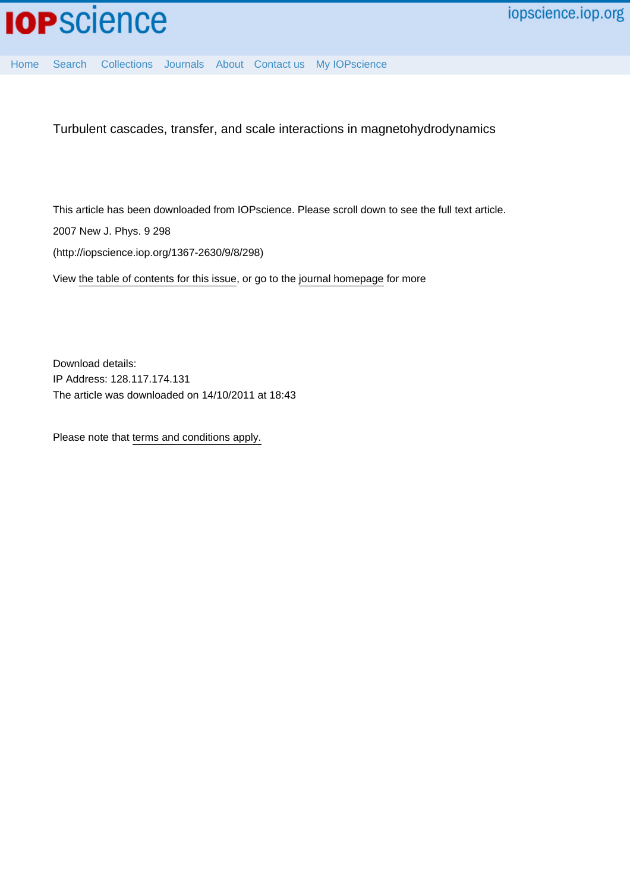

[Home](http://iopscience.iop.org/) [Search](http://iopscience.iop.org/search) [Collections](http://iopscience.iop.org/collections) [Journals](http://iopscience.iop.org/journals) [About](http://iopscience.iop.org/page/aboutioppublishing) [Contact us](http://iopscience.iop.org/contact) [My IOPscience](http://iopscience.iop.org/myiopscience)

Turbulent cascades, transfer, and scale interactions in magnetohydrodynamics

This article has been downloaded from IOPscience. Please scroll down to see the full text article.

2007 New J. Phys. 9 298

(http://iopscience.iop.org/1367-2630/9/8/298)

View [the table of contents for this issue](http://iopscience.iop.org/1367-2630/9/8), or go to the [journal homepage](http://iopscience.iop.org/1367-2630) for more

Download details: IP Address: 128.117.174.131 The article was downloaded on 14/10/2011 at 18:43

Please note that [terms and conditions apply.](http://iopscience.iop.org/page/terms)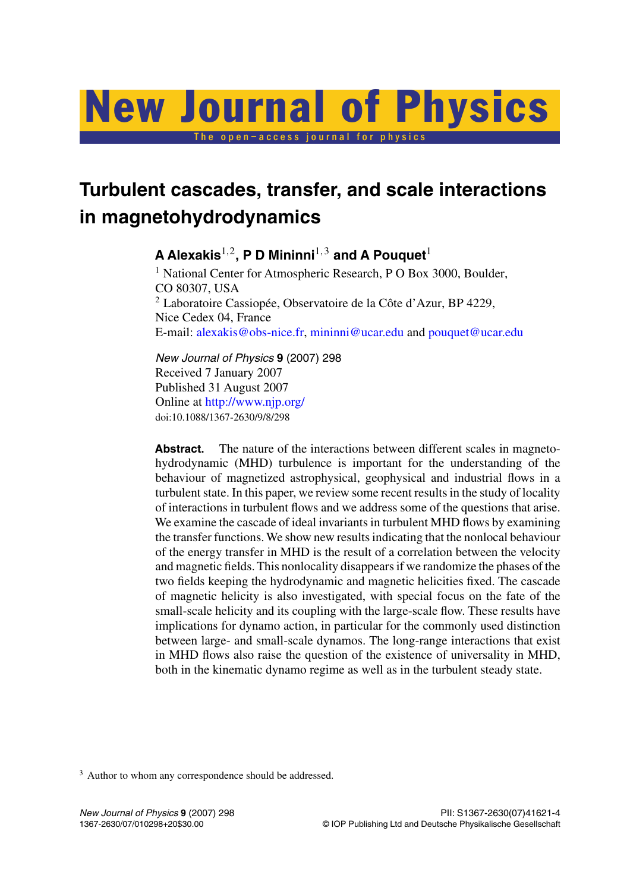# The open–access journal for physics New Journal of Physics

# **Turbulent cascades, transfer, and scale interactions in magnetohydrodynamics**

**A Alexakis**1*,*2**, P D Mininni**1*,*<sup>3</sup> **and A Pouquet**<sup>1</sup> <sup>1</sup> National Center for Atmospheric Research, P O Box 3000, Boulder, CO 80307, USA <sup>2</sup> Laboratoire Cassiopée, Observatoire de la Côte d'Azur, BP 4229, Nice Cedex 04, France

E-mail: [alexakis@obs-nice.fr](mailto:alexakis@obs-nice.fr), [mininni@ucar.edu](mailto:mininni@ucar.edu) and [pouquet@ucar.edu](mailto:pouquet@ucar.edu)

*New Journal of Physics* **9** (2007) 298 Received 7 January 2007 Published 31 August 2007 Online at <http://www.njp.org/> doi:10.1088/1367-2630/9/8/298

Abstract. The nature of the interactions between different scales in magnetohydrodynamic (MHD) turbulence is important for the understanding of the behaviour of magnetized astrophysical, geophysical and industrial flows in a turbulent state. In this paper, we review some recent results in the study of locality of interactions in turbulent flows and we address some of the questions that arise. We examine the cascade of ideal invariants in turbulent MHD flows by examining the transfer functions. We show new results indicating that the nonlocal behaviour of the energy transfer in MHD is the result of a correlation between the velocity and magnetic fields. This nonlocality disappears if we randomize the phases of the two fields keeping the hydrodynamic and magnetic helicities fixed. The cascade of magnetic helicity is also investigated, with special focus on the fate of the small-scale helicity and its coupling with the large-scale flow. These results have implications for dynamo action, in particular for the commonly used distinction between large- and small-scale dynamos. The long-range interactions that exist in MHD flows also raise the question of the existence of universality in MHD, both in the kinematic dynamo regime as well as in the turbulent steady state.

<sup>3</sup> Author to whom any correspondence should be addressed.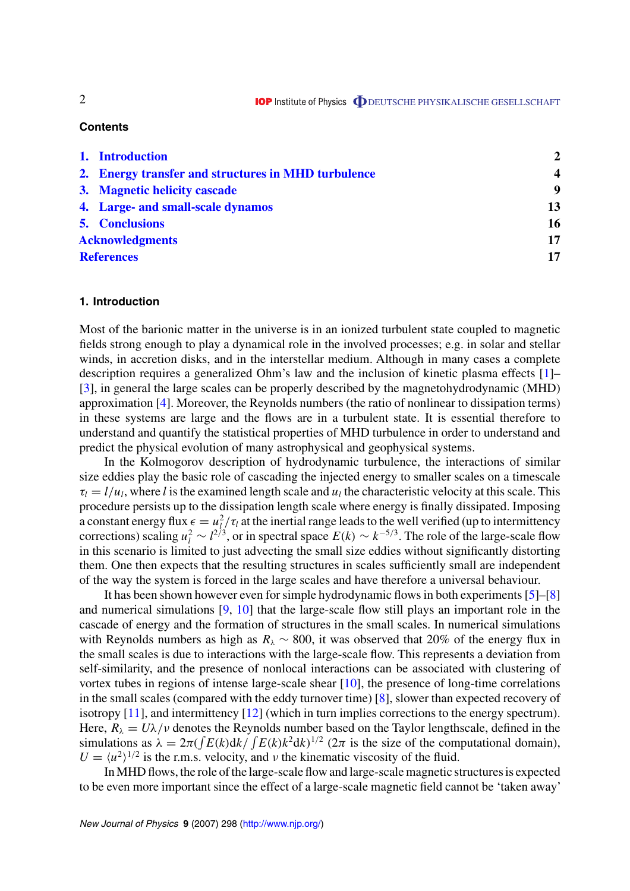# **Contents**

|                        | 1. Introduction                                     | $\mathbf{2}$            |
|------------------------|-----------------------------------------------------|-------------------------|
|                        | 2. Energy transfer and structures in MHD turbulence | $\overline{\mathbf{4}}$ |
|                        | 3. Magnetic helicity cascade                        | 9                       |
|                        | 4. Large- and small-scale dynamos                   | 13                      |
|                        | <b>5. Conclusions</b>                               | 16                      |
| <b>Acknowledgments</b> |                                                     | 17                      |
| <b>References</b>      |                                                     | 17                      |

## **1. Introduction**

Most of the barionic matter in the universe is in an ionized turbulent state coupled to magnetic fields strong enough to play a dynamical role in the involved processes; e.g. in solar and stellar winds, in accretion disks, and in the interstellar medium. Although in many cases a complete description requires a generalized Ohm's law and the inclusion of kinetic plasma effects [\[1](#page-17-0)]– [[3\]](#page-17-0), in general the large scales can be properly described by the magnetohydrodynamic (MHD) approximation [\[4](#page-17-0)]. Moreover, the Reynolds numbers (the ratio of nonlinear to dissipation terms) in these systems are large and the flows are in a turbulent state. It is essential therefore to understand and quantify the statistical properties of MHD turbulence in order to understand and predict the physical evolution of many astrophysical and geophysical systems.

In the Kolmogorov description of hydrodynamic turbulence, the interactions of similar size eddies play the basic role of cascading the injected energy to smaller scales on a timescale  $\tau_l = l/u_l$ , where *l* is the examined length scale and  $u_l$  the characteristic velocity at this scale. This procedure persists up to the dissipation length scale where energy is finally dissipated. Imposing a constant energy flux  $\epsilon = u_l^2 / \tau_l$  at the inertial range leads to the well verified (up to intermittency corrections) scaling  $u_l^2 \sim l^{2/3}$ , or in spectral space  $E(k) \sim k^{-5/3}$ . The role of the large-scale flow in this scenario is limited to just advecting the small size eddies without significantly distorting them. One then expects that the resulting structures in scales sufficiently small are independent of the way the system is forced in the large scales and have therefore a universal behaviour.

It has been shown however even for simple hydrodynamic flows in both experiments [\[5](#page-17-0)]–[\[8](#page-17-0)] and numerical simulations [[9](#page-17-0), [10](#page-17-0)] that the large-scale flow still plays an important role in the cascade of energy and the formation of structures in the small scales. In numerical simulations with Reynolds numbers as high as  $R_{\lambda} \sim 800$ , it was observed that 20% of the energy flux in the small scales is due to interactions with the large-scale flow. This represents a deviation from self-similarity, and the presence of nonlocal interactions can be associated with clustering of vortex tubes in regions of intense large-scale shear [[10\]](#page-17-0), the presence of long-time correlations in the small scales (compared with the eddy turnover time) [[8\]](#page-17-0), slower than expected recovery of isotropy [[11\]](#page-18-0), and intermittency [\[12](#page-18-0)] (which in turn implies corrections to the energy spectrum). Here,  $R_{\lambda} = U\lambda/\nu$  denotes the Reynolds number based on the Taylor lengthscale, defined in the simulations as  $\lambda = 2\pi ( \int E(k) \frac{dk}{\int E(k) k^2 dk}^{1/2} (2\pi \text{ is the size of the computational domain}),$  $U = \langle u^2 \rangle^{1/2}$  is the r.m.s. velocity, and *ν* the kinematic viscosity of the fluid.

In MHD flows, the role of the large-scale flow and large-scale magnetic structures is expected to be even more important since the effect of a large-scale magnetic field cannot be 'taken away'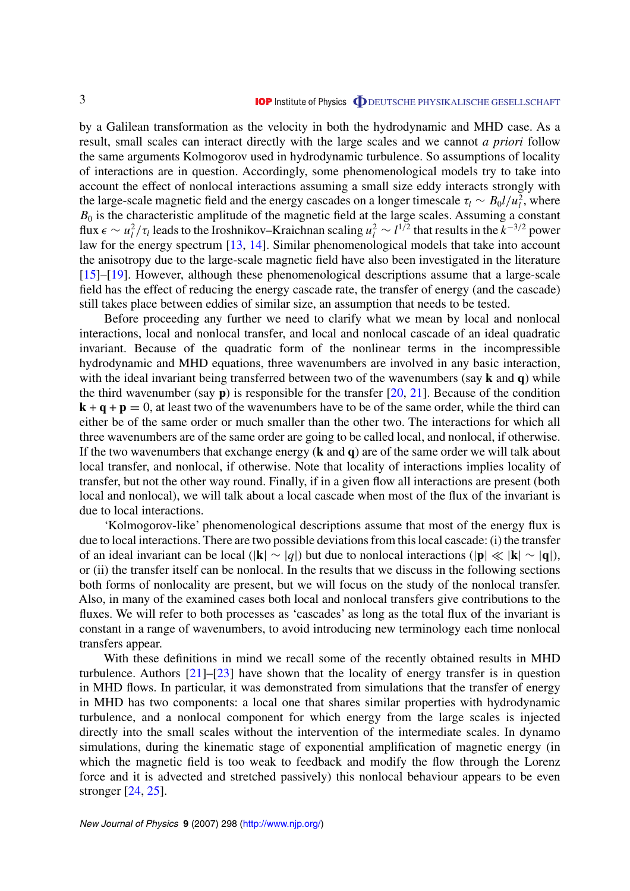by a Galilean transformation as the velocity in both the hydrodynamic and MHD case. As a result, small scales can interact directly with the large scales and we cannot *a priori* follow the same arguments Kolmogorov used in hydrodynamic turbulence. So assumptions of locality of interactions are in question. Accordingly, some phenomenological models try to take into account the effect of nonlocal interactions assuming a small size eddy interacts strongly with the large-scale magnetic field and the energy cascades on a longer timescale  $\tau_l \sim B_0 l/u_l^2$ , where  $B_0$  is the characteristic amplitude of the magnetic field at the large scales. Assuming a constant  $\int$  *flux*  $\epsilon$  ∼ *u*<sup>2</sup>/ $\tau$ <sub>*l*</sub> leads to the Iroshnikov–Kraichnan scaling *u*<sup>2</sup> ∼ *l*<sup>1/2</sup> that results in the *k*<sup>−3/2</sup> power law for the energy spectrum [\[13](#page-18-0), [14\]](#page-18-0). Similar phenomenological models that take into account the anisotropy due to the large-scale magnetic field have also been investigated in the literature [[15\]](#page-18-0)–[[19\]](#page-18-0). However, although these phenomenological descriptions assume that a large-scale field has the effect of reducing the energy cascade rate, the transfer of energy (and the cascade) still takes place between eddies of similar size, an assumption that needs to be tested.

Before proceeding any further we need to clarify what we mean by local and nonlocal interactions, local and nonlocal transfer, and local and nonlocal cascade of an ideal quadratic invariant. Because of the quadratic form of the nonlinear terms in the incompressible hydrodynamic and MHD equations, three wavenumbers are involved in any basic interaction, with the ideal invariant being transferred between two of the wavenumbers (say **k** and **q**) while the third wavenumber (say **p**) is responsible for the transfer [\[20,](#page-18-0) [21](#page-18-0)]. Because of the condition  $\mathbf{k} + \mathbf{q} + \mathbf{p} = 0$ , at least two of the wavenumbers have to be of the same order, while the third can either be of the same order or much smaller than the other two. The interactions for which all three wavenumbers are of the same order are going to be called local, and nonlocal, if otherwise. If the two wavenumbers that exchange energy (**k** and **q**) are of the same order we will talk about local transfer, and nonlocal, if otherwise. Note that locality of interactions implies locality of transfer, but not the other way round. Finally, if in a given flow all interactions are present (both local and nonlocal), we will talk about a local cascade when most of the flux of the invariant is due to local interactions.

'Kolmogorov-like' phenomenological descriptions assume that most of the energy flux is due to local interactions. There are two possible deviations from this local cascade: (i) the transfer of an ideal invariant can be local (|**k**|∼|*q*|) but due to nonlocal interactions (|**p**||**k**|∼|**q**|), or (ii) the transfer itself can be nonlocal. In the results that we discuss in the following sections both forms of nonlocality are present, but we will focus on the study of the nonlocal transfer. Also, in many of the examined cases both local and nonlocal transfers give contributions to the fluxes. We will refer to both processes as 'cascades' as long as the total flux of the invariant is constant in a range of wavenumbers, to avoid introducing new terminology each time nonlocal transfers appear.

With these definitions in mind we recall some of the recently obtained results in MHD turbulence. Authors [\[21](#page-18-0)]–[\[23](#page-18-0)] have shown that the locality of energy transfer is in question in MHD flows. In particular, it was demonstrated from simulations that the transfer of energy in MHD has two components: a local one that shares similar properties with hydrodynamic turbulence, and a nonlocal component for which energy from the large scales is injected directly into the small scales without the intervention of the intermediate scales. In dynamo simulations, during the kinematic stage of exponential amplification of magnetic energy (in which the magnetic field is too weak to feedback and modify the flow through the Lorenz force and it is advected and stretched passively) this nonlocal behaviour appears to be even stronger [\[24](#page-18-0), [25](#page-18-0)].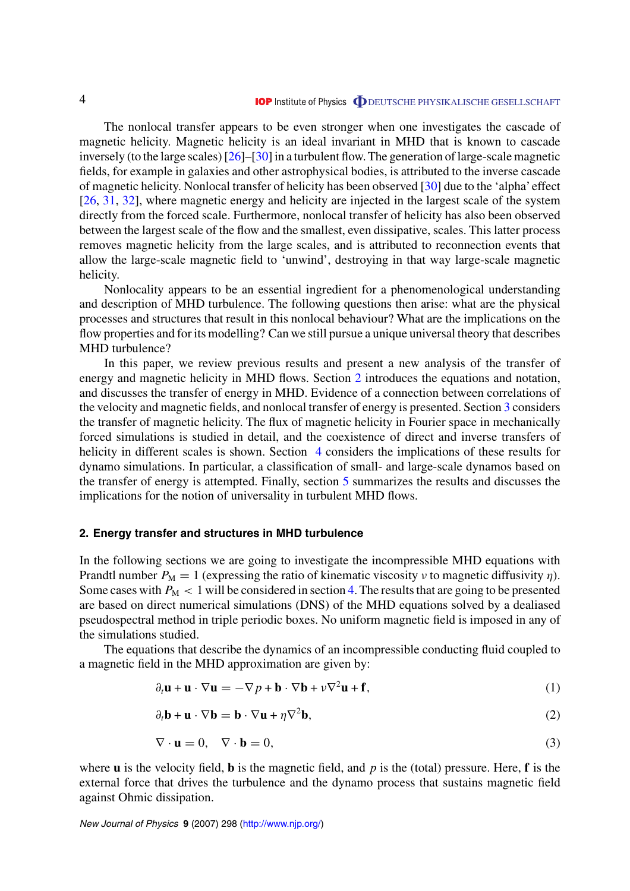<span id="page-4-0"></span>The nonlocal transfer appears to be even stronger when one investigates the cascade of magnetic helicity. Magnetic helicity is an ideal invariant in MHD that is known to cascade inversely (to the large scales) [[26\]](#page-18-0)–[[30](#page-18-0)] in a turbulent flow. The generation of large-scale magnetic fields, for example in galaxies and other astrophysical bodies, is attributed to the inverse cascade of magnetic helicity. Nonlocal transfer of helicity has been observed [\[30\]](#page-18-0) due to the 'alpha'effect [[26,](#page-18-0) [31](#page-18-0), [32](#page-18-0)], where magnetic energy and helicity are injected in the largest scale of the system directly from the forced scale. Furthermore, nonlocal transfer of helicity has also been observed between the largest scale of the flow and the smallest, even dissipative, scales. This latter process removes magnetic helicity from the large scales, and is attributed to reconnection events that allow the large-scale magnetic field to 'unwind', destroying in that way large-scale magnetic helicity.

Nonlocality appears to be an essential ingredient for a phenomenological understanding and description of MHD turbulence. The following questions then arise: what are the physical processes and structures that result in this nonlocal behaviour? What are the implications on the flow properties and for its modelling? Can we still pursue a unique universal theory that describes MHD turbulence?

In this paper, we review previous results and present a new analysis of the transfer of energy and magnetic helicity in MHD flows. Section 2 introduces the equations and notation, and discusses the transfer of energy in MHD. Evidence of a connection between correlations of the velocity and magnetic fields, and nonlocal transfer of energy is presented. Section [3](#page-9-0) considers the transfer of magnetic helicity. The flux of magnetic helicity in Fourier space in mechanically forced simulations is studied in detail, and the coexistence of direct and inverse transfers of helicity in different scales is shown. Section [4](#page-13-0) considers the implications of these results for dynamo simulations. In particular, a classification of small- and large-scale dynamos based on the transfer of energy is attempted. Finally, section [5](#page-16-0) summarizes the results and discusses the implications for the notion of universality in turbulent MHD flows.

# **2. Energy transfer and structures in MHD turbulence**

In the following sections we are going to investigate the incompressible MHD equations with Prandtl number  $P_M = 1$  (expressing the ratio of kinematic viscosity *ν* to magnetic diffusivity *η*). Some cases with  $P_M < 1$  will be considered in section [4.](#page-13-0) The results that are going to be presented are based on direct numerical simulations (DNS) of the MHD equations solved by a dealiased pseudospectral method in triple periodic boxes. No uniform magnetic field is imposed in any of the simulations studied.

The equations that describe the dynamics of an incompressible conducting fluid coupled to a magnetic field in the MHD approximation are given by:

$$
\partial_t \mathbf{u} + \mathbf{u} \cdot \nabla \mathbf{u} = -\nabla p + \mathbf{b} \cdot \nabla \mathbf{b} + \nu \nabla^2 \mathbf{u} + \mathbf{f},\tag{1}
$$

$$
\partial_t \mathbf{b} + \mathbf{u} \cdot \nabla \mathbf{b} = \mathbf{b} \cdot \nabla \mathbf{u} + \eta \nabla^2 \mathbf{b},\tag{2}
$$

$$
\nabla \cdot \mathbf{u} = 0, \quad \nabla \cdot \mathbf{b} = 0,
$$
\n(3)

where **u** is the velocity field, **b** is the magnetic field, and *p* is the (total) pressure. Here, **f** is the external force that drives the turbulence and the dynamo process that sustains magnetic field against Ohmic dissipation.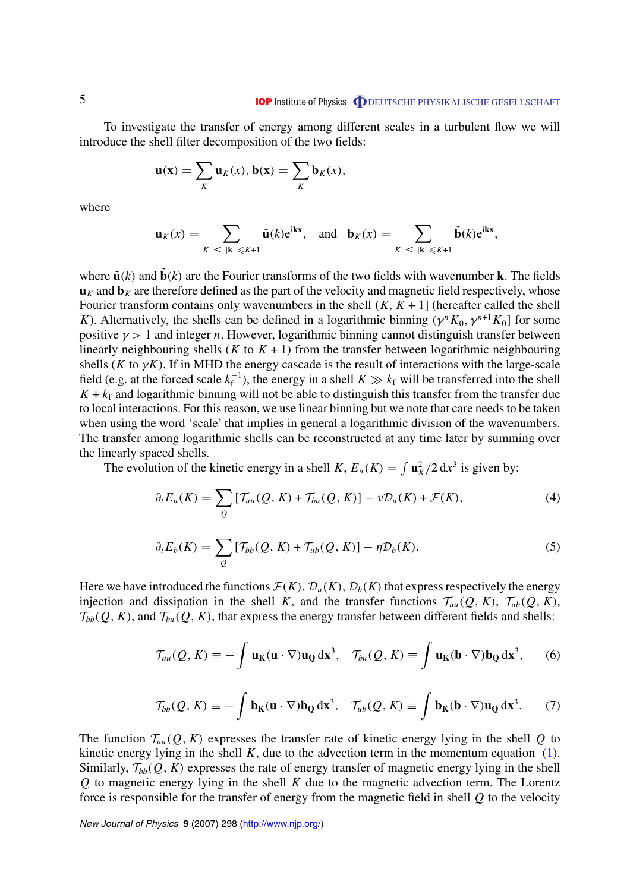<span id="page-5-0"></span>To investigate the transfer of energy among different scales in a turbulent flow we will introduce the shell filter decomposition of the two fields:

$$
\mathbf{u}(\mathbf{x}) = \sum_K \mathbf{u}_K(x), \mathbf{b}(\mathbf{x}) = \sum_K \mathbf{b}_K(x),
$$

where

$$
\mathbf{u}_K(x) = \sum_{K \;<\; |\mathbf{k}| \leqslant K+1} \tilde{\mathbf{u}}(k) e^{i\mathbf{kx}}, \quad \text{and} \quad \mathbf{b}_K(x) = \sum_{K \;<\; |\mathbf{k}| \leqslant K+1} \tilde{\mathbf{b}}(k) e^{i\mathbf{kx}},
$$

where  $\tilde{\mathbf{u}}(k)$  and  $\tilde{\mathbf{b}}(k)$  are the Fourier transforms of the two fields with wavenumber **k**. The fields  $\mathbf{u}_K$  and  $\mathbf{b}_K$  are therefore defined as the part of the velocity and magnetic field respectively, whose Fourier transform contains only wavenumbers in the shell  $(K, K + 1)$  (hereafter called the shell *K*). Alternatively, the shells can be defined in a logarithmic binning  $(\gamma^n K_0, \gamma^{n+1} K_0)$  for some positive  $\gamma > 1$  and integer *n*. However, logarithmic binning cannot distinguish transfer between linearly neighbouring shells  $(K$  to  $K + 1)$  from the transfer between logarithmic neighbouring shells ( $K$  to  $\gamma K$ ). If in MHD the energy cascade is the result of interactions with the large-scale field (e.g. at the forced scale  $k_f^{-1}$ ), the energy in a shell  $K \gg k_f$  will be transferred into the shell  $K + k_f$  and logarithmic binning will not be able to distinguish this transfer from the transfer due to local interactions. For this reason, we use linear binning but we note that care needs to be taken when using the word 'scale' that implies in general a logarithmic division of the wavenumbers. The transfer among logarithmic shells can be reconstructed at any time later by summing over the linearly spaced shells.

The evolution of the kinetic energy in a shell *K*,  $E_u(K) = \int \mathbf{u}_K^2 / 2 \, dx^3$  is given by:

$$
\partial_t E_u(K) = \sum_Q \left[ \mathcal{T}_{uu}(Q, K) + \mathcal{T}_{bu}(Q, K) \right] - \nu \mathcal{D}_u(K) + \mathcal{F}(K), \tag{4}
$$

$$
\partial_t E_b(K) = \sum_Q \left[ \mathcal{T}_{bb}(Q, K) + \mathcal{T}_{ub}(Q, K) \right] - \eta \mathcal{D}_b(K). \tag{5}
$$

Here we have introduced the functions  $\mathcal{F}(K)$ ,  $\mathcal{D}_u(K)$ ,  $\mathcal{D}_b(K)$  that express respectively the energy injection and dissipation in the shell *K*, and the transfer functions  $\mathcal{T}_{uu}(Q, K)$ ,  $\mathcal{T}_{ub}(Q, K)$ ,  $\mathcal{T}_{bb}(Q, K)$ , and  $\mathcal{T}_{bu}(Q, K)$ , that express the energy transfer between different fields and shells:

$$
\mathcal{T}_{uu}(Q,K) \equiv -\int \mathbf{u}_{\mathbf{K}}(\mathbf{u} \cdot \nabla) \mathbf{u}_{\mathbf{Q}} d\mathbf{x}^{3}, \quad \mathcal{T}_{bu}(Q,K) \equiv \int \mathbf{u}_{\mathbf{K}}(\mathbf{b} \cdot \nabla) \mathbf{b}_{\mathbf{Q}} d\mathbf{x}^{3}, \qquad (6)
$$

$$
\mathcal{T}_{bb}(Q, K) \equiv -\int \mathbf{b}_{\mathbf{K}}(\mathbf{u} \cdot \nabla) \mathbf{b}_{\mathbf{Q}} \, \mathrm{d} \mathbf{x}^3, \quad \mathcal{T}_{ub}(Q, K) \equiv \int \mathbf{b}_{\mathbf{K}}(\mathbf{b} \cdot \nabla) \mathbf{u}_{\mathbf{Q}} \, \mathrm{d} \mathbf{x}^3. \tag{7}
$$

The function  $\mathcal{T}_{uu}(Q, K)$  expresses the transfer rate of kinetic energy lying in the shell Q to kinetic energy lying in the shell  $K$ , due to the advection term in the momentum equation [\(1](#page-4-0)). Similarly,  $\mathcal{T}_{bb}(Q, K)$  expresses the rate of energy transfer of magnetic energy lying in the shell *Q* to magnetic energy lying in the shell *K* due to the magnetic advection term. The Lorentz force is responsible for the transfer of energy from the magnetic field in shell *Q* to the velocity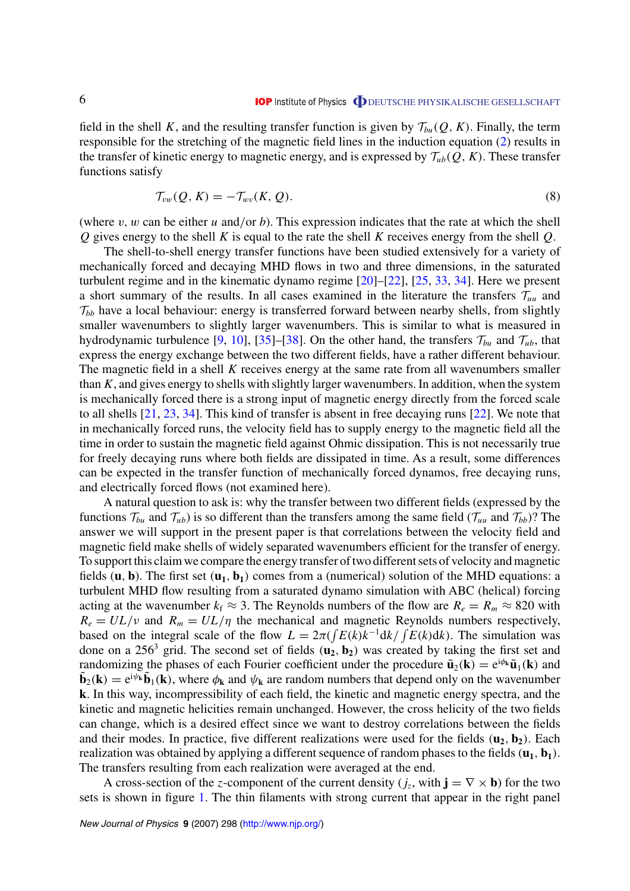<span id="page-6-0"></span>field in the shell K, and the resulting transfer function is given by  $\mathcal{T}_{bu}(Q, K)$ . Finally, the term responsible for the stretching of the magnetic field lines in the induction equation ([2](#page-4-0)) results in the transfer of kinetic energy to magnetic energy, and is expressed by  $\mathcal{T}_{ub}(Q, K)$ . These transfer functions satisfy

$$
\mathcal{T}_{vw}(Q,K) = -\mathcal{T}_{wv}(K,Q). \tag{8}
$$

(where *v, w* can be either *u* and*/*or *b*). This expression indicates that the rate at which the shell *Q* gives energy to the shell *K* is equal to the rate the shell *K* receives energy from the shell *Q*.

The shell-to-shell energy transfer functions have been studied extensively for a variety of mechanically forced and decaying MHD flows in two and three dimensions, in the saturated turbulent regime and in the kinematic dynamo regime [[20\]](#page-18-0)–[\[22](#page-18-0)], [[25,](#page-18-0) [33,](#page-18-0) [34\]](#page-18-0). Here we present a short summary of the results. In all cases examined in the literature the transfers  $\mathcal{T}_{uu}$  and  $\mathcal{T}_{bb}$  have a local behaviour: energy is transferred forward between nearby shells, from slightly smaller wavenumbers to slightly larger wavenumbers. This is similar to what is measured in hydrodynamic turbulence [\[9](#page-17-0), [10\]](#page-17-0), [\[35](#page-18-0)]–[\[38](#page-19-0)]. On the other hand, the transfers  $\mathcal{T}_{bu}$  and  $\mathcal{T}_{ub}$ , that express the energy exchange between the two different fields, have a rather different behaviour. The magnetic field in a shell *K* receives energy at the same rate from all wavenumbers smaller than *K*, and gives energy to shells with slightly larger wavenumbers. In addition, when the system is mechanically forced there is a strong input of magnetic energy directly from the forced scale to all shells [[21](#page-18-0), [23](#page-18-0), [34](#page-18-0)]. This kind of transfer is absent in free decaying runs [\[22](#page-18-0)]. We note that in mechanically forced runs, the velocity field has to supply energy to the magnetic field all the time in order to sustain the magnetic field against Ohmic dissipation. This is not necessarily true for freely decaying runs where both fields are dissipated in time. As a result, some differences can be expected in the transfer function of mechanically forced dynamos, free decaying runs, and electrically forced flows (not examined here).

A natural question to ask is: why the transfer between two different fields (expressed by the functions  $\mathcal{T}_{bu}$  and  $\mathcal{T}_{ub}$ ) is so different than the transfers among the same field ( $\mathcal{T}_{uu}$  and  $\mathcal{T}_{bb}$ )? The answer we will support in the present paper is that correlations between the velocity field and magnetic field make shells of widely separated wavenumbers efficient for the transfer of energy. To support this claim we compare the energy transfer of two different sets of velocity and magnetic fields  $(\mathbf{u}, \mathbf{b})$ . The first set  $(\mathbf{u}_1, \mathbf{b}_1)$  comes from a (numerical) solution of the MHD equations: a turbulent MHD flow resulting from a saturated dynamo simulation with ABC (helical) forcing acting at the wavenumber  $k_f \approx 3$ . The Reynolds numbers of the flow are  $R_e = R_m \approx 820$  with  $R_e = UL/\nu$  and  $R_m = UL/\eta$  the mechanical and magnetic Reynolds numbers respectively, based on the integral scale of the flow  $L = 2\pi \left(\int E(k)k^{-1}dk / \int E(k)dk\right)$ . The simulation was done on a 256<sup>3</sup> grid. The second set of fields  $(\mathbf{u}_2, \mathbf{b}_2)$  was created by taking the first set and randomizing the phases of each Fourier coefficient under the procedure  $\tilde{\mathbf{u}}_2(\mathbf{k}) = e^{i\phi_{\mathbf{k}}}\tilde{\mathbf{u}}_1(\mathbf{k})$  and  $\mathbf{b}_2(\mathbf{k}) = e^{i\psi_{\mathbf{k}}}\mathbf{b}_1(\mathbf{k})$ , where  $\phi_{\mathbf{k}}$  and  $\psi_{\mathbf{k}}$  are random numbers that depend only on the wavenumber **k**. In this way, incompressibility of each field, the kinetic and magnetic energy spectra, and the kinetic and magnetic helicities remain unchanged. However, the cross helicity of the two fields can change, which is a desired effect since we want to destroy correlations between the fields and their modes. In practice, five different realizations were used for the fields  $(\mathbf{u}_2, \mathbf{b}_2)$ . Each realization was obtained by applying a different sequence of random phases to the fields  $(\mathbf{u}_1, \mathbf{b}_1)$ . The transfers resulting from each realization were averaged at the end.

A cross-section of the *z*-component of the current density ( $j_z$ , with  $\mathbf{j} = \nabla \times \mathbf{b}$ ) for the two sets is shown in figure [1.](#page-7-0) The thin filaments with strong current that appear in the right panel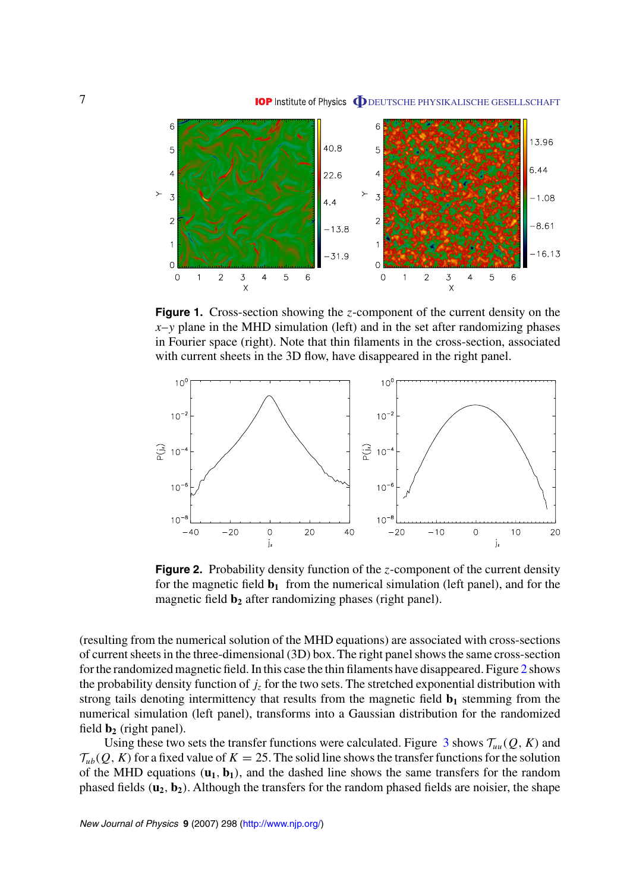<span id="page-7-0"></span>

**Figure 1.** Cross-section showing the *z*-component of the current density on the  $x-y$  plane in the MHD simulation (left) and in the set after randomizing phases in Fourier space (right). Note that thin filaments in the cross-section, associated with current sheets in the 3D flow, have disappeared in the right panel.



**Figure 2.** Probability density function of the *z*-component of the current density for the magnetic field  $\mathbf{b}_1$  from the numerical simulation (left panel), and for the magnetic field **b**<sub>2</sub> after randomizing phases (right panel).

(resulting from the numerical solution of the MHD equations) are associated with cross-sections of current sheets in the three-dimensional (3D) box. The right panel shows the same cross-section for the randomized magnetic field. In this case the thin filaments have disappeared. Figure 2 shows the probability density function of  $j_z$  for the two sets. The stretched exponential distribution with strong tails denoting intermittency that results from the magnetic field  $\mathbf{b}_1$  stemming from the numerical simulation (left panel), transforms into a Gaussian distribution for the randomized field  $\mathbf{b}_2$  (right panel).

Using these two sets the transfer functions were calculated. Figure  $\beta$  shows  $\mathcal{T}_{uu}(Q, K)$  and  $\mathcal{T}_{ub}(Q, K)$  for a fixed value of  $K = 25$ . The solid line shows the transfer functions for the solution of the MHD equations  $(\mathbf{u}_1, \mathbf{b}_1)$ , and the dashed line shows the same transfers for the random phased fields  $(\mathbf{u}_2, \mathbf{b}_2)$ . Although the transfers for the random phased fields are noisier, the shape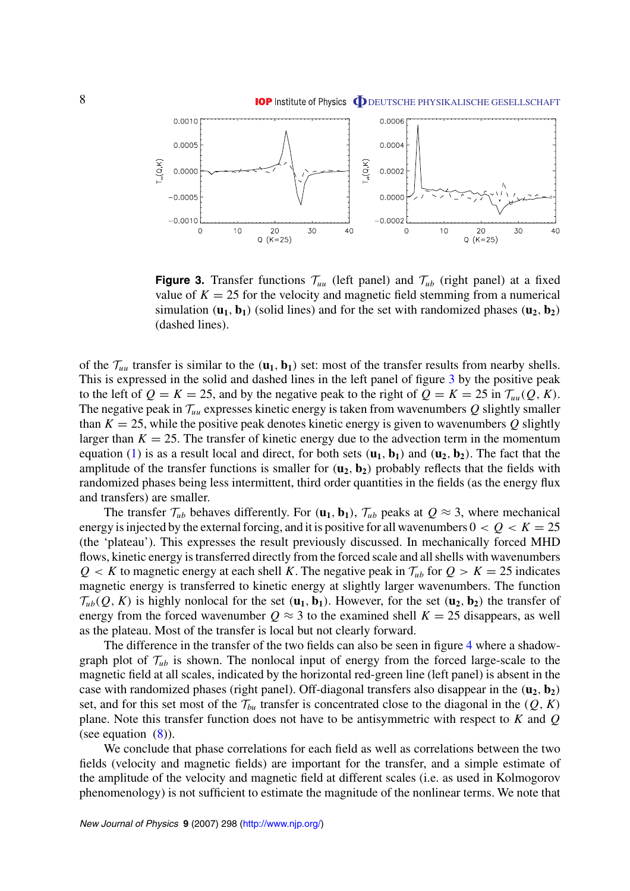<span id="page-8-0"></span>

**Figure 3.** Transfer functions  $\mathcal{T}_{uu}$  (left panel) and  $\mathcal{T}_{ub}$  (right panel) at a fixed value of  $K = 25$  for the velocity and magnetic field stemming from a numerical simulation  $(\mathbf{u}_1, \mathbf{b}_1)$  (solid lines) and for the set with randomized phases  $(\mathbf{u}_2, \mathbf{b}_2)$ (dashed lines).

of the  $\mathcal{T}_{uu}$  transfer is similar to the  $(\mathbf{u}_1, \mathbf{b}_1)$  set: most of the transfer results from nearby shells. This is expressed in the solid and dashed lines in the left panel of figure 3 by the positive peak to the left of  $Q = K = 25$ , and by the negative peak to the right of  $Q = K = 25$  in  $\mathcal{T}_{uu}(Q, K)$ . The negative peak in  $\mathcal{T}_{uu}$  expresses kinetic energy is taken from wavenumbers  $Q$  slightly smaller than  $K = 25$ , while the positive peak denotes kinetic energy is given to wavenumbers Q slightly larger than  $K = 25$ . The transfer of kinetic energy due to the advection term in the momentum equation ([1\)](#page-4-0) is as a result local and direct, for both sets  $(\mathbf{u}_1, \mathbf{b}_1)$  and  $(\mathbf{u}_2, \mathbf{b}_2)$ . The fact that the amplitude of the transfer functions is smaller for  $(\mathbf{u}_2, \mathbf{b}_2)$  probably reflects that the fields with randomized phases being less intermittent, third order quantities in the fields (as the energy flux and transfers) are smaller.

The transfer  $\mathcal{T}_{ub}$  behaves differently. For  $(\mathbf{u}_1, \mathbf{b}_1)$ ,  $\mathcal{T}_{ub}$  peaks at  $Q \approx 3$ , where mechanical energy is injected by the external forcing, and it is positive for all wavenumbers  $0 < Q < K = 25$ (the 'plateau'). This expresses the result previously discussed. In mechanically forced MHD flows, kinetic energy is transferred directly from the forced scale and all shells with wavenumbers  $Q < K$  to magnetic energy at each shell *K*. The negative peak in  $\mathcal{T}_{ub}$  for  $Q > K = 25$  indicates magnetic energy is transferred to kinetic energy at slightly larger wavenumbers. The function  $\mathcal{T}_{ub}(Q, K)$  is highly nonlocal for the set  $(\mathbf{u}_1, \mathbf{b}_1)$ . However, for the set  $(\mathbf{u}_2, \mathbf{b}_2)$  the transfer of energy from the forced wavenumber  $Q \approx 3$  to the examined shell  $K = 25$  disappears, as well as the plateau. Most of the transfer is local but not clearly forward.

The difference in the transfer of the two fields can also be seen in figure [4](#page-9-0) where a shadowgraph plot of  $\mathcal{T}_{ub}$  is shown. The nonlocal input of energy from the forced large-scale to the magnetic field at all scales, indicated by the horizontal red-green line (left panel) is absent in the case with randomized phases (right panel). Off-diagonal transfers also disappear in the  $(\mathbf{u}_2, \mathbf{b}_2)$ set, and for this set most of the  $\mathcal{T}_{bu}$  transfer is concentrated close to the diagonal in the  $(Q, K)$ plane. Note this transfer function does not have to be antisymmetric with respect to *K* and *Q* (see equation  $(8)$  $(8)$ ).

We conclude that phase correlations for each field as well as correlations between the two fields (velocity and magnetic fields) are important for the transfer, and a simple estimate of the amplitude of the velocity and magnetic field at different scales (i.e. as used in Kolmogorov phenomenology) is not sufficient to estimate the magnitude of the nonlinear terms. We note that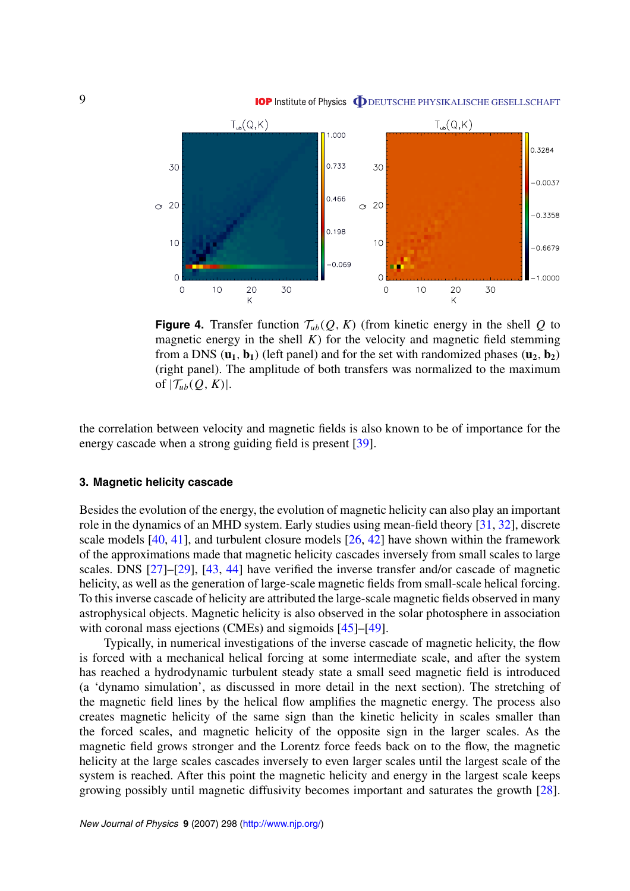<span id="page-9-0"></span>



**Figure 4.** Transfer function  $\mathcal{T}_{ub}(Q, K)$  (from kinetic energy in the shell Q to magnetic energy in the shell  $K$ ) for the velocity and magnetic field stemming from a DNS  $(\mathbf{u}_1, \mathbf{b}_1)$  (left panel) and for the set with randomized phases  $(\mathbf{u}_2, \mathbf{b}_2)$ (right panel). The amplitude of both transfers was normalized to the maximum of  $|\mathcal{T}_{ub}(Q, K)|$ .

the correlation between velocity and magnetic fields is also known to be of importance for the energy cascade when a strong guiding field is present [[39\]](#page-19-0).

# **3. Magnetic helicity cascade**

Besides the evolution of the energy, the evolution of magnetic helicity can also play an important role in the dynamics of an MHD system. Early studies using mean-field theory [\[31,](#page-18-0) [32\]](#page-18-0), discrete scale models [[40,](#page-19-0) [41\]](#page-19-0), and turbulent closure models [\[26](#page-18-0), [42](#page-19-0)] have shown within the framework of the approximations made that magnetic helicity cascades inversely from small scales to large scales. DNS [\[27](#page-18-0)]–[\[29\]](#page-18-0), [[43,](#page-19-0) [44\]](#page-19-0) have verified the inverse transfer and/or cascade of magnetic helicity, as well as the generation of large-scale magnetic fields from small-scale helical forcing. To this inverse cascade of helicity are attributed the large-scale magnetic fields observed in many astrophysical objects. Magnetic helicity is also observed in the solar photosphere in association with coronal mass ejections (CMEs) and sigmoids [\[45](#page-19-0)]–[\[49](#page-19-0)].

Typically, in numerical investigations of the inverse cascade of magnetic helicity, the flow is forced with a mechanical helical forcing at some intermediate scale, and after the system has reached a hydrodynamic turbulent steady state a small seed magnetic field is introduced (a 'dynamo simulation', as discussed in more detail in the next section). The stretching of the magnetic field lines by the helical flow amplifies the magnetic energy. The process also creates magnetic helicity of the same sign than the kinetic helicity in scales smaller than the forced scales, and magnetic helicity of the opposite sign in the larger scales. As the magnetic field grows stronger and the Lorentz force feeds back on to the flow, the magnetic helicity at the large scales cascades inversely to even larger scales until the largest scale of the system is reached. After this point the magnetic helicity and energy in the largest scale keeps growing possibly until magnetic diffusivity becomes important and saturates the growth [\[28](#page-18-0)].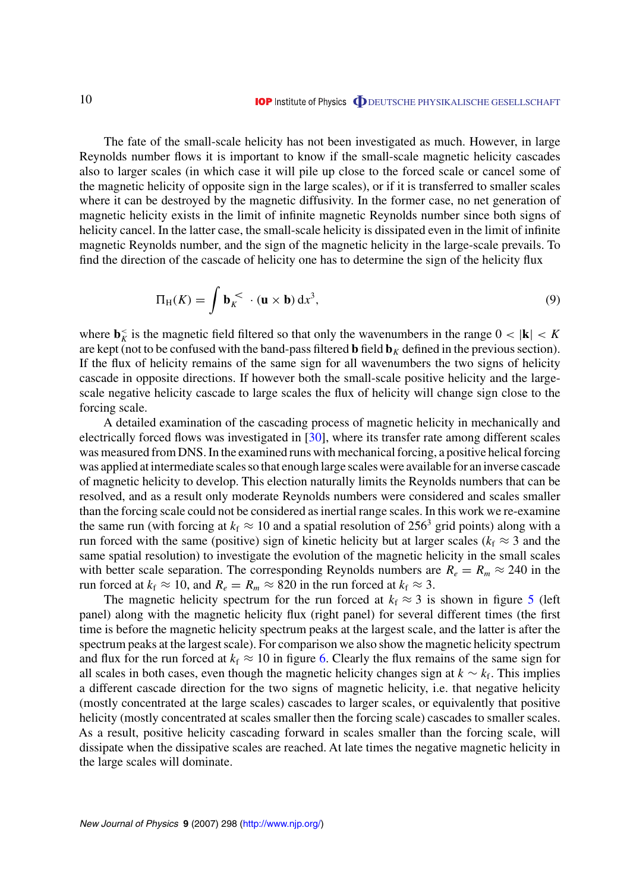The fate of the small-scale helicity has not been investigated as much. However, in large Reynolds number flows it is important to know if the small-scale magnetic helicity cascades also to larger scales (in which case it will pile up close to the forced scale or cancel some of the magnetic helicity of opposite sign in the large scales), or if it is transferred to smaller scales where it can be destroyed by the magnetic diffusivity. In the former case, no net generation of magnetic helicity exists in the limit of infinite magnetic Reynolds number since both signs of helicity cancel. In the latter case, the small-scale helicity is dissipated even in the limit of infinite magnetic Reynolds number, and the sign of the magnetic helicity in the large-scale prevails. To find the direction of the cascade of helicity one has to determine the sign of the helicity flux

$$
\Pi_{\mathrm{H}}(K) = \int \mathbf{b}_K^{\lt} \cdot (\mathbf{u} \times \mathbf{b}) \, \mathrm{d}x^3,\tag{9}
$$

where  $\mathbf{b}_K^<$  is the magnetic field filtered so that only the wavenumbers in the range  $0 < |\mathbf{k}| < K$ are kept (not to be confused with the band-pass filtered **b** field  $\mathbf{b}_K$  defined in the previous section). If the flux of helicity remains of the same sign for all wavenumbers the two signs of helicity cascade in opposite directions. If however both the small-scale positive helicity and the largescale negative helicity cascade to large scales the flux of helicity will change sign close to the forcing scale.

A detailed examination of the cascading process of magnetic helicity in mechanically and electrically forced flows was investigated in [[30\]](#page-18-0), where its transfer rate among different scales was measured from DNS. In the examined runs with mechanical forcing, a positive helical forcing was applied at intermediate scales so that enough large scales were available for an inverse cascade of magnetic helicity to develop. This election naturally limits the Reynolds numbers that can be resolved, and as a result only moderate Reynolds numbers were considered and scales smaller than the forcing scale could not be considered as inertial range scales. In this work we re-examine the same run (with forcing at  $k_f \approx 10$  and a spatial resolution of 256<sup>3</sup> grid points) along with a run forced with the same (positive) sign of kinetic helicity but at larger scales ( $k_f \approx 3$  and the same spatial resolution) to investigate the evolution of the magnetic helicity in the small scales with better scale separation. The corresponding Reynolds numbers are  $R_e = R_m \approx 240$  in the run forced at  $k_f \approx 10$ , and  $R_e = R_m \approx 820$  in the run forced at  $k_f \approx 3$ .

The magnetic helicity spectrum for the run forced at  $k_f \approx 3$  is shown in figure [5](#page-11-0) (left panel) along with the magnetic helicity flux (right panel) for several different times (the first time is before the magnetic helicity spectrum peaks at the largest scale, and the latter is after the spectrum peaks at the largest scale). For comparison we also show the magnetic helicity spectrum and flux for the run forced at  $k_f \approx 10$  in figure [6.](#page-11-0) Clearly the flux remains of the same sign for all scales in both cases, even though the magnetic helicity changes sign at *k* ∼ *k*f. This implies a different cascade direction for the two signs of magnetic helicity, i.e. that negative helicity (mostly concentrated at the large scales) cascades to larger scales, or equivalently that positive helicity (mostly concentrated at scales smaller then the forcing scale) cascades to smaller scales. As a result, positive helicity cascading forward in scales smaller than the forcing scale, will dissipate when the dissipative scales are reached. At late times the negative magnetic helicity in the large scales will dominate.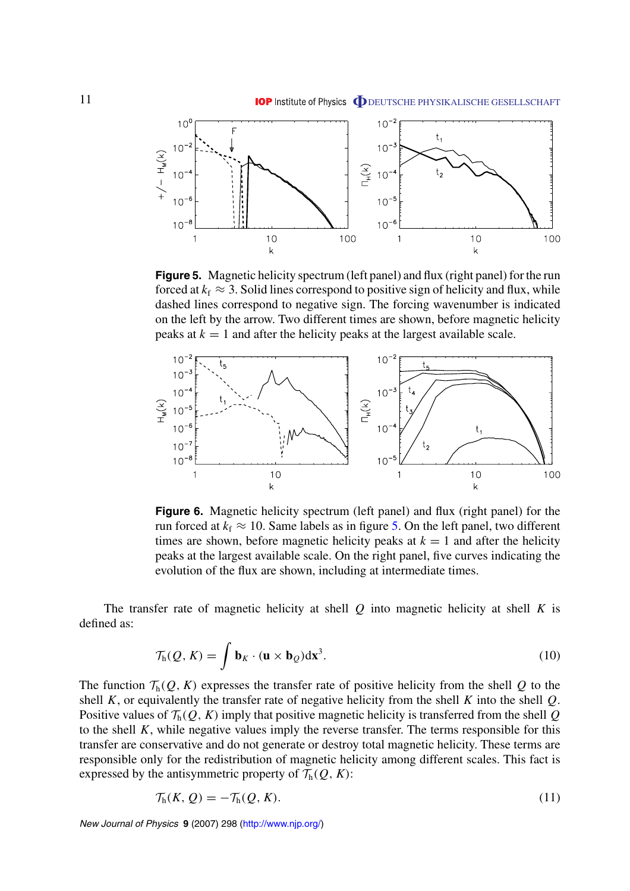<span id="page-11-0"></span>

**Figure 5.** Magnetic helicity spectrum (left panel) and flux (right panel) for the run forced at  $k_f \approx 3$ . Solid lines correspond to positive sign of helicity and flux, while dashed lines correspond to negative sign. The forcing wavenumber is indicated on the left by the arrow. Two different times are shown, before magnetic helicity peaks at  $k = 1$  and after the helicity peaks at the largest available scale.



**Figure 6.** Magnetic helicity spectrum (left panel) and flux (right panel) for the run forced at  $k_f \approx 10$ . Same labels as in figure 5. On the left panel, two different times are shown, before magnetic helicity peaks at  $k = 1$  and after the helicity peaks at the largest available scale. On the right panel, five curves indicating the evolution of the flux are shown, including at intermediate times.

The transfer rate of magnetic helicity at shell *Q* into magnetic helicity at shell *K* is defined as:

$$
\mathcal{T}_{h}(Q, K) = \int \mathbf{b}_{K} \cdot (\mathbf{u} \times \mathbf{b}_{Q}) d\mathbf{x}^{3}.
$$
 (10)

The function  $\mathcal{T}_h(Q, K)$  expresses the transfer rate of positive helicity from the shell Q to the shell *K*, or equivalently the transfer rate of negative helicity from the shell *K* into the shell *Q*. Positive values of  $\mathcal{T}_{h}(Q, K)$  imply that positive magnetic helicity is transferred from the shell Q to the shell *K*, while negative values imply the reverse transfer. The terms responsible for this transfer are conservative and do not generate or destroy total magnetic helicity. These terms are responsible only for the redistribution of magnetic helicity among different scales. This fact is expressed by the antisymmetric property of  $\mathcal{T}_{h}(Q, K)$ :

$$
\mathcal{T}_{h}(K,\,Q) = -\mathcal{T}_{h}(Q,\,K). \tag{11}
$$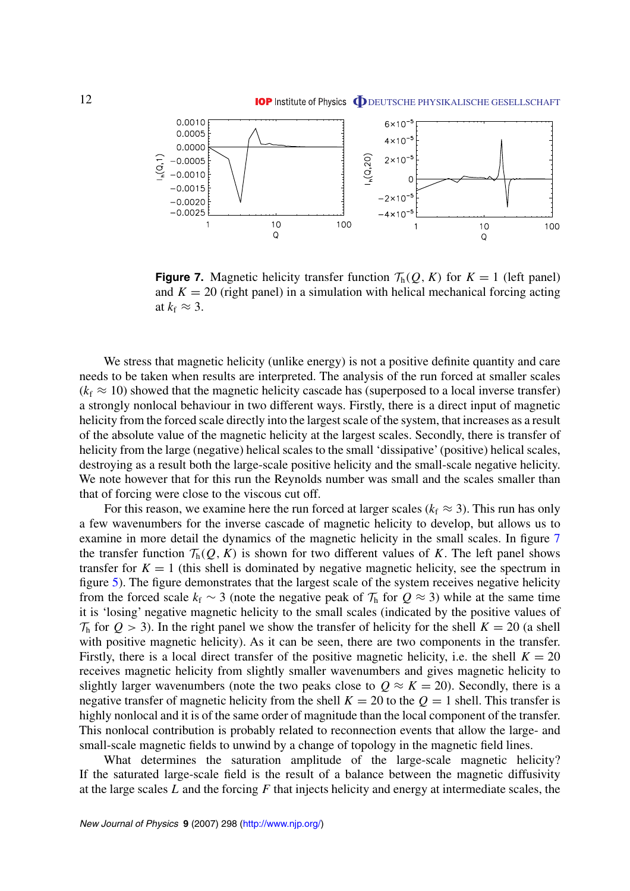

**Figure 7.** Magnetic helicity transfer function  $\mathcal{T}_h(Q, K)$  for  $K = 1$  (left panel) and  $K = 20$  (right panel) in a simulation with helical mechanical forcing acting at  $k_f \approx 3$ .

We stress that magnetic helicity (unlike energy) is not a positive definite quantity and care needs to be taken when results are interpreted. The analysis of the run forced at smaller scales  $(k_f \approx 10)$  showed that the magnetic helicity cascade has (superposed to a local inverse transfer) a strongly nonlocal behaviour in two different ways. Firstly, there is a direct input of magnetic helicity from the forced scale directly into the largest scale of the system, that increases as a result of the absolute value of the magnetic helicity at the largest scales. Secondly, there is transfer of helicity from the large (negative) helical scales to the small 'dissipative' (positive) helical scales, destroying as a result both the large-scale positive helicity and the small-scale negative helicity. We note however that for this run the Reynolds number was small and the scales smaller than that of forcing were close to the viscous cut off.

For this reason, we examine here the run forced at larger scales ( $k_f \approx 3$ ). This run has only a few wavenumbers for the inverse cascade of magnetic helicity to develop, but allows us to examine in more detail the dynamics of the magnetic helicity in the small scales. In figure 7 the transfer function  $\mathcal{T}_{h}(Q, K)$  is shown for two different values of K. The left panel shows transfer for  $K = 1$  (this shell is dominated by negative magnetic helicity, see the spectrum in figure [5\)](#page-11-0). The figure demonstrates that the largest scale of the system receives negative helicity from the forced scale  $k_f \sim 3$  (note the negative peak of  $\mathcal{T}_h$  for  $Q \approx 3$ ) while at the same time it is 'losing' negative magnetic helicity to the small scales (indicated by the positive values of  $\mathcal{T}_h$  for  $Q > 3$ ). In the right panel we show the transfer of helicity for the shell  $K = 20$  (a shell with positive magnetic helicity). As it can be seen, there are two components in the transfer. Firstly, there is a local direct transfer of the positive magnetic helicity, i.e. the shell  $K = 20$ receives magnetic helicity from slightly smaller wavenumbers and gives magnetic helicity to slightly larger wavenumbers (note the two peaks close to  $Q \approx K = 20$ ). Secondly, there is a negative transfer of magnetic helicity from the shell  $K = 20$  to the  $Q = 1$  shell. This transfer is highly nonlocal and it is of the same order of magnitude than the local component of the transfer. This nonlocal contribution is probably related to reconnection events that allow the large- and small-scale magnetic fields to unwind by a change of topology in the magnetic field lines.

What determines the saturation amplitude of the large-scale magnetic helicity? If the saturated large-scale field is the result of a balance between the magnetic diffusivity at the large scales *L* and the forcing *F* that injects helicity and energy at intermediate scales, the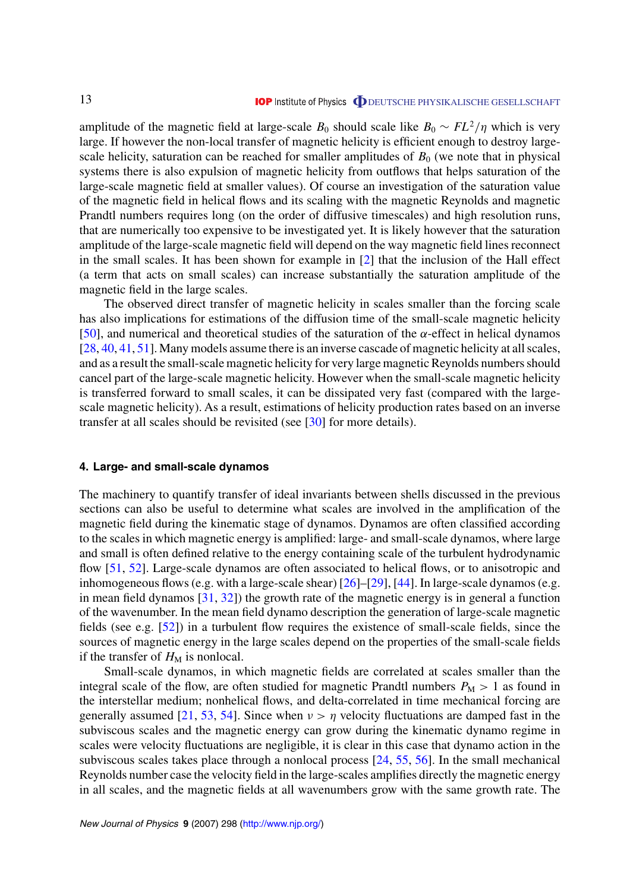<span id="page-13-0"></span>amplitude of the magnetic field at large-scale  $B_0$  should scale like  $B_0 \sim FL^2/\eta$  which is very large. If however the non-local transfer of magnetic helicity is efficient enough to destroy largescale helicity, saturation can be reached for smaller amplitudes of  $B_0$  (we note that in physical systems there is also expulsion of magnetic helicity from outflows that helps saturation of the large-scale magnetic field at smaller values). Of course an investigation of the saturation value of the magnetic field in helical flows and its scaling with the magnetic Reynolds and magnetic Prandtl numbers requires long (on the order of diffusive timescales) and high resolution runs, that are numerically too expensive to be investigated yet. It is likely however that the saturation amplitude of the large-scale magnetic field will depend on the way magnetic field lines reconnect in the small scales. It has been shown for example in [[2\]](#page-17-0) that the inclusion of the Hall effect (a term that acts on small scales) can increase substantially the saturation amplitude of the magnetic field in the large scales.

The observed direct transfer of magnetic helicity in scales smaller than the forcing scale has also implications for estimations of the diffusion time of the small-scale magnetic helicity [[50\]](#page-19-0), and numerical and theoretical studies of the saturation of the *α*-effect in helical dynamos [[28,](#page-18-0) [40,](#page-19-0) [41,](#page-19-0) [51\]](#page-19-0). Many models assume there is an inverse cascade of magnetic helicity at all scales, and as a result the small-scale magnetic helicity for very large magnetic Reynolds numbers should cancel part of the large-scale magnetic helicity. However when the small-scale magnetic helicity is transferred forward to small scales, it can be dissipated very fast (compared with the largescale magnetic helicity). As a result, estimations of helicity production rates based on an inverse transfer at all scales should be revisited (see [[30\]](#page-18-0) for more details).

#### **4. Large- and small-scale dynamos**

The machinery to quantify transfer of ideal invariants between shells discussed in the previous sections can also be useful to determine what scales are involved in the amplification of the magnetic field during the kinematic stage of dynamos. Dynamos are often classified according to the scales in which magnetic energy is amplified: large- and small-scale dynamos, where large and small is often defined relative to the energy containing scale of the turbulent hydrodynamic flow [\[51](#page-19-0), [52\]](#page-19-0). Large-scale dynamos are often associated to helical flows, or to anisotropic and inhomogeneous flows (e.g. with a large-scale shear) [\[26](#page-18-0)]–[\[29](#page-18-0)], [[44](#page-19-0)]. In large-scale dynamos (e.g. in mean field dynamos  $[31, 32]$  $[31, 32]$  $[31, 32]$  $[31, 32]$ ) the growth rate of the magnetic energy is in general a function of the wavenumber. In the mean field dynamo description the generation of large-scale magnetic fields (see e.g. [\[52](#page-19-0)]) in a turbulent flow requires the existence of small-scale fields, since the sources of magnetic energy in the large scales depend on the properties of the small-scale fields if the transfer of  $H_M$  is nonlocal.

Small-scale dynamos, in which magnetic fields are correlated at scales smaller than the integral scale of the flow, are often studied for magnetic Prandtl numbers  $P_M > 1$  as found in the interstellar medium; nonhelical flows, and delta-correlated in time mechanical forcing are generally assumed [\[21](#page-18-0), [53,](#page-19-0) [54](#page-19-0)]. Since when  $\nu > \eta$  velocity fluctuations are damped fast in the subviscous scales and the magnetic energy can grow during the kinematic dynamo regime in scales were velocity fluctuations are negligible, it is clear in this case that dynamo action in the subviscous scales takes place through a nonlocal process [[24,](#page-18-0) [55,](#page-19-0) [56](#page-19-0)]. In the small mechanical Reynolds number case the velocity field in the large-scales amplifies directly the magnetic energy in all scales, and the magnetic fields at all wavenumbers grow with the same growth rate. The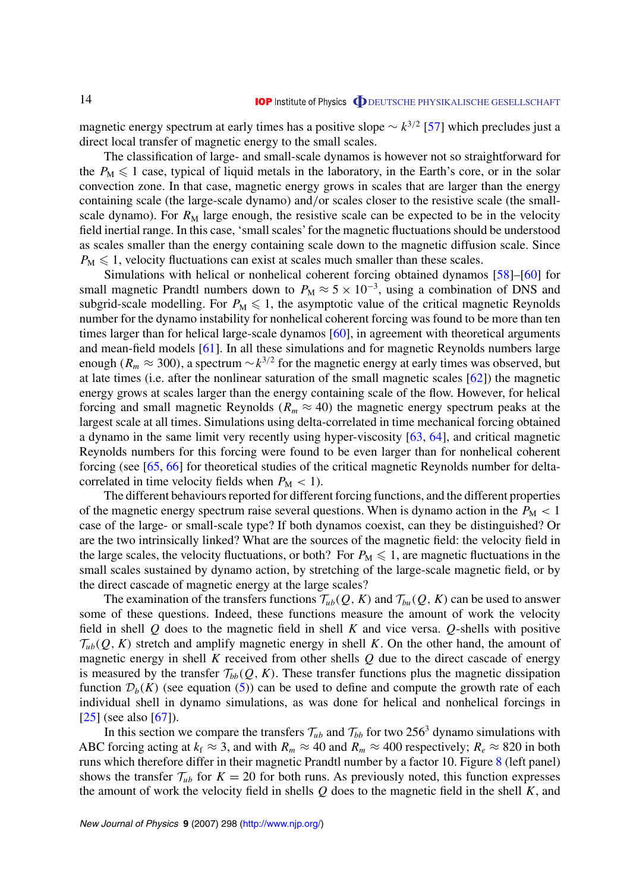magnetic energy spectrum at early times has a positive slope  $\sim k^{3/2}$  [\[57](#page-19-0)] which precludes just a direct local transfer of magnetic energy to the small scales.

The classification of large- and small-scale dynamos is however not so straightforward for the  $P_M \leq 1$  case, typical of liquid metals in the laboratory, in the Earth's core, or in the solar convection zone. In that case, magnetic energy grows in scales that are larger than the energy containing scale (the large-scale dynamo) and*/*or scales closer to the resistive scale (the smallscale dynamo). For  $R_M$  large enough, the resistive scale can be expected to be in the velocity field inertial range. In this case, 'small scales' for the magnetic fluctuations should be understood as scales smaller than the energy containing scale down to the magnetic diffusion scale. Since  $P_M \leq 1$ , velocity fluctuations can exist at scales much smaller than these scales.

Simulations with helical or nonhelical coherent forcing obtained dynamos [\[58](#page-19-0)]–[\[60](#page-19-0)] for small magnetic Prandtl numbers down to  $P_M \approx 5 \times 10^{-3}$ , using a combination of DNS and subgrid-scale modelling. For  $P_M \leq 1$ , the asymptotic value of the critical magnetic Reynolds number for the dynamo instability for nonhelical coherent forcing was found to be more than ten times larger than for helical large-scale dynamos [[60\]](#page-19-0), in agreement with theoretical arguments and mean-field models [[61\]](#page-19-0). In all these simulations and for magnetic Reynolds numbers large enough ( $R_m \approx 300$ ), a spectrum  $\sim k^{3/2}$  for the magnetic energy at early times was observed, but at late times (i.e. after the nonlinear saturation of the small magnetic scales [\[62](#page-19-0)]) the magnetic energy grows at scales larger than the energy containing scale of the flow. However, for helical forcing and small magnetic Reynolds ( $R_m \approx 40$ ) the magnetic energy spectrum peaks at the largest scale at all times. Simulations using delta-correlated in time mechanical forcing obtained a dynamo in the same limit very recently using hyper-viscosity [\[63](#page-19-0), [64\]](#page-20-0), and critical magnetic Reynolds numbers for this forcing were found to be even larger than for nonhelical coherent forcing (see [[65,](#page-20-0) [66](#page-20-0)] for theoretical studies of the critical magnetic Reynolds number for deltacorrelated in time velocity fields when  $P_M < 1$ ).

The different behaviours reported for different forcing functions, and the different properties of the magnetic energy spectrum raise several questions. When is dynamo action in the  $P_M < 1$ case of the large- or small-scale type? If both dynamos coexist, can they be distinguished? Or are the two intrinsically linked? What are the sources of the magnetic field: the velocity field in the large scales, the velocity fluctuations, or both? For  $P_M \leq 1$ , are magnetic fluctuations in the small scales sustained by dynamo action, by stretching of the large-scale magnetic field, or by the direct cascade of magnetic energy at the large scales?

The examination of the transfers functions  $\mathcal{T}_{ub}(Q, K)$  and  $\mathcal{T}_{bu}(Q, K)$  can be used to answer some of these questions. Indeed, these functions measure the amount of work the velocity field in shell *Q* does to the magnetic field in shell *K* and vice versa. *Q*-shells with positive  $\mathcal{T}_{ub}(Q, K)$  stretch and amplify magnetic energy in shell *K*. On the other hand, the amount of magnetic energy in shell *K* received from other shells *Q* due to the direct cascade of energy is measured by the transfer  $\mathcal{T}_{bb}(Q, K)$ . These transfer functions plus the magnetic dissipation function  $\mathcal{D}_b(K)$  (see equation ([5\)](#page-5-0)) can be used to define and compute the growth rate of each individual shell in dynamo simulations, as was done for helical and nonhelical forcings in  $[25]$  $[25]$  (see also  $[67]$  $[67]$ ).

In this section we compare the transfers  $\mathcal{T}_{ub}$  and  $\mathcal{T}_{bb}$  for two 256<sup>3</sup> dynamo simulations with ABC forcing acting at  $k_f \approx 3$ , and with  $R_m \approx 40$  and  $R_m \approx 400$  respectively;  $R_e \approx 820$  in both runs which therefore differ in their magnetic Prandtl number by a factor 10. Figure [8](#page-15-0) (left panel) shows the transfer  $\mathcal{T}_{ub}$  for  $K = 20$  for both runs. As previously noted, this function expresses the amount of work the velocity field in shells *Q* does to the magnetic field in the shell *K*, and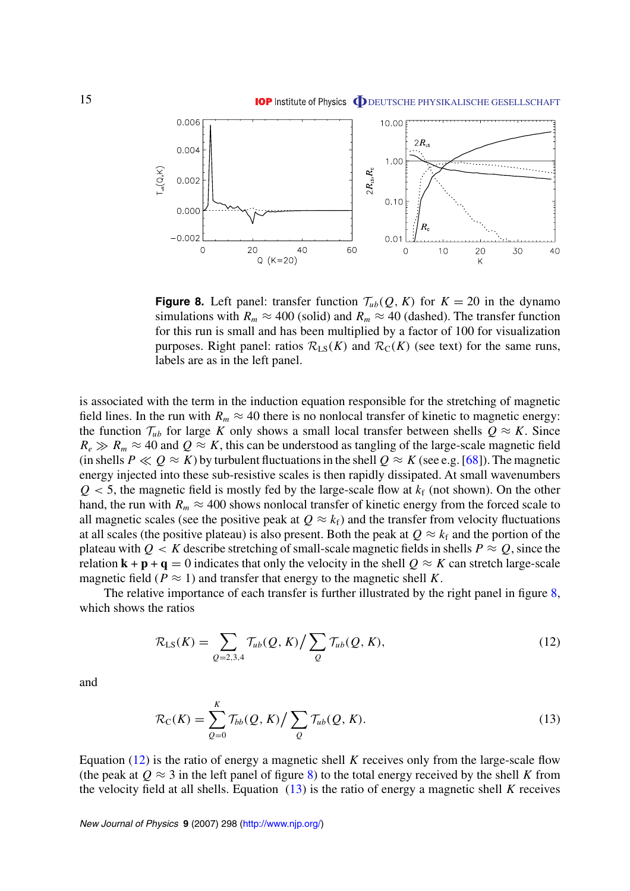<span id="page-15-0"></span>

**Figure 8.** Left panel: transfer function  $\mathcal{T}_{ub}(Q, K)$  for  $K = 20$  in the dynamo simulations with  $R_m \approx 400$  (solid) and  $R_m \approx 40$  (dashed). The transfer function for this run is small and has been multiplied by a factor of 100 for visualization purposes. Right panel: ratios  $\mathcal{R}_{LS}(K)$  and  $\mathcal{R}_{C}(K)$  (see text) for the same runs, labels are as in the left panel.

is associated with the term in the induction equation responsible for the stretching of magnetic field lines. In the run with  $R_m \approx 40$  there is no nonlocal transfer of kinetic to magnetic energy: the function  $\mathcal{T}_{ub}$  for large *K* only shows a small local transfer between shells  $Q \approx K$ . Since  $R_e \gg R_m \approx 40$  and  $Q \approx K$ , this can be understood as tangling of the large-scale magnetic field (in shells  $P \ll Q \approx K$ ) by turbulent fluctuations in the shell  $Q \approx K$  (see e.g. [\[68](#page-20-0)]). The magnetic energy injected into these sub-resistive scales is then rapidly dissipated. At small wavenumbers  $Q < 5$ , the magnetic field is mostly fed by the large-scale flow at  $k_f$  (not shown). On the other hand, the run with  $R_m \approx 400$  shows nonlocal transfer of kinetic energy from the forced scale to all magnetic scales (see the positive peak at  $Q \approx k_f$ ) and the transfer from velocity fluctuations at all scales (the positive plateau) is also present. Both the peak at  $Q \approx k_f$  and the portion of the plateau with  $Q < K$  describe stretching of small-scale magnetic fields in shells  $P \approx Q$ , since the relation  $\mathbf{k} + \mathbf{p} + \mathbf{q} = 0$  indicates that only the velocity in the shell  $Q \approx K$  can stretch large-scale magnetic field ( $P \approx 1$ ) and transfer that energy to the magnetic shell K.

The relative importance of each transfer is further illustrated by the right panel in figure 8, which shows the ratios

$$
\mathcal{R}_{LS}(K) = \sum_{Q=2,3,4} \mathcal{T}_{ub}(Q,K) / \sum_{Q} \mathcal{T}_{ub}(Q,K),
$$
\n(12)

and

$$
\mathcal{R}_{\mathcal{C}}(K) = \sum_{Q=0}^{K} \mathcal{T}_{bb}(Q, K) / \sum_{Q} \mathcal{T}_{ub}(Q, K).
$$
\n(13)

Equation (12) is the ratio of energy a magnetic shell *K* receives only from the large-scale flow (the peak at  $Q \approx 3$  in the left panel of figure 8) to the total energy received by the shell K from the velocity field at all shells. Equation (13) is the ratio of energy a magnetic shell *K* receives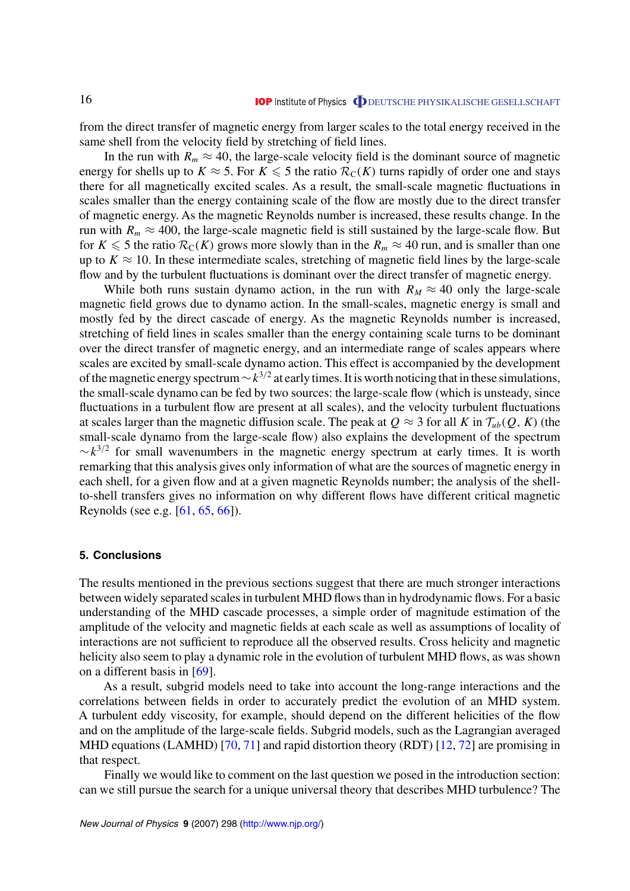<span id="page-16-0"></span>from the direct transfer of magnetic energy from larger scales to the total energy received in the same shell from the velocity field by stretching of field lines.

In the run with  $R_m \approx 40$ , the large-scale velocity field is the dominant source of magnetic energy for shells up to  $K \approx 5$ . For  $K \le 5$  the ratio  $\mathcal{R}_{C}(K)$  turns rapidly of order one and stays there for all magnetically excited scales. As a result, the small-scale magnetic fluctuations in scales smaller than the energy containing scale of the flow are mostly due to the direct transfer of magnetic energy. As the magnetic Reynolds number is increased, these results change. In the run with  $R_m \approx 400$ , the large-scale magnetic field is still sustained by the large-scale flow. But for  $K \le 5$  the ratio  $\mathcal{R}_C(K)$  grows more slowly than in the  $R_m \approx 40$  run, and is smaller than one up to  $K \approx 10$ . In these intermediate scales, stretching of magnetic field lines by the large-scale flow and by the turbulent fluctuations is dominant over the direct transfer of magnetic energy.

While both runs sustain dynamo action, in the run with  $R_M \approx 40$  only the large-scale magnetic field grows due to dynamo action. In the small-scales, magnetic energy is small and mostly fed by the direct cascade of energy. As the magnetic Reynolds number is increased, stretching of field lines in scales smaller than the energy containing scale turns to be dominant over the direct transfer of magnetic energy, and an intermediate range of scales appears where scales are excited by small-scale dynamo action. This effect is accompanied by the development of the magnetic energy spectrum∼*k*<sup>3</sup>*/*<sup>2</sup> at early times. It is worth noticing that in these simulations, the small-scale dynamo can be fed by two sources: the large-scale flow (which is unsteady, since fluctuations in a turbulent flow are present at all scales), and the velocity turbulent fluctuations at scales larger than the magnetic diffusion scale. The peak at  $Q \approx 3$  for all *K* in  $\mathcal{T}_{ub}(Q, K)$  (the small-scale dynamo from the large-scale flow) also explains the development of the spectrum  $\sim k^{3/2}$  for small wavenumbers in the magnetic energy spectrum at early times. It is worth remarking that this analysis gives only information of what are the sources of magnetic energy in each shell, for a given flow and at a given magnetic Reynolds number; the analysis of the shellto-shell transfers gives no information on why different flows have different critical magnetic Reynolds (see e.g. [\[61](#page-19-0), [65](#page-20-0), [66](#page-20-0)]).

## **5. Conclusions**

The results mentioned in the previous sections suggest that there are much stronger interactions between widely separated scales in turbulent MHD flows than in hydrodynamic flows. For a basic understanding of the MHD cascade processes, a simple order of magnitude estimation of the amplitude of the velocity and magnetic fields at each scale as well as assumptions of locality of interactions are not sufficient to reproduce all the observed results. Cross helicity and magnetic helicity also seem to play a dynamic role in the evolution of turbulent MHD flows, as was shown on a different basis in [\[69](#page-20-0)].

As a result, subgrid models need to take into account the long-range interactions and the correlations between fields in order to accurately predict the evolution of an MHD system. A turbulent eddy viscosity, for example, should depend on the different helicities of the flow and on the amplitude of the large-scale fields. Subgrid models, such as the Lagrangian averaged MHD equations (LAMHD) [\[70](#page-20-0), [71\]](#page-20-0) and rapid distortion theory (RDT) [[12,](#page-18-0) [72](#page-20-0)] are promising in that respect.

Finally we would like to comment on the last question we posed in the introduction section: can we still pursue the search for a unique universal theory that describes MHD turbulence? The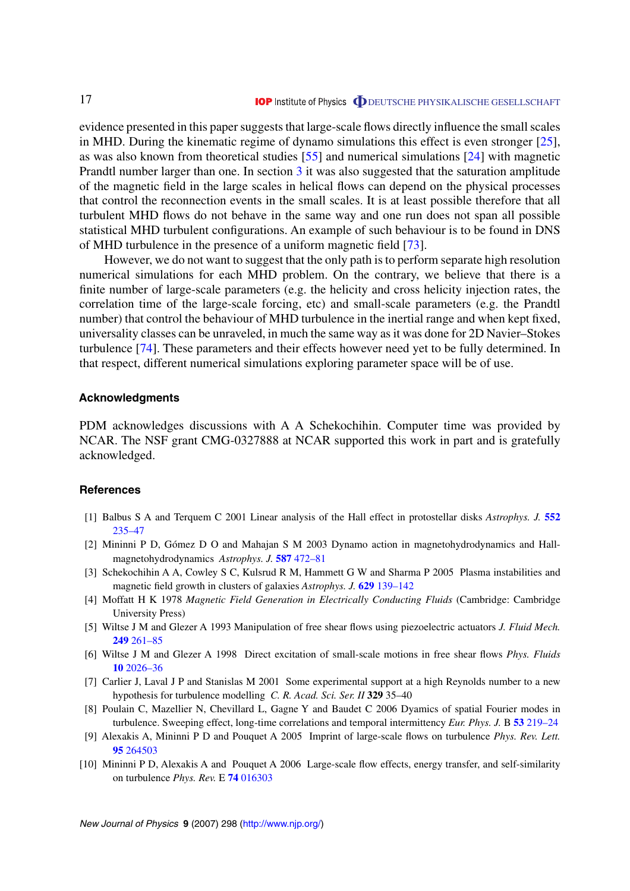<span id="page-17-0"></span>evidence presented in this paper suggests that large-scale flows directly influence the small scales in MHD. During the kinematic regime of dynamo simulations this effect is even stronger [\[25](#page-18-0)], as was also known from theoretical studies [[55\]](#page-19-0) and numerical simulations [[24\]](#page-18-0) with magnetic Prandtl number larger than one. In section [3](#page-9-0) it was also suggested that the saturation amplitude of the magnetic field in the large scales in helical flows can depend on the physical processes that control the reconnection events in the small scales. It is at least possible therefore that all turbulent MHD flows do not behave in the same way and one run does not span all possible statistical MHD turbulent configurations. An example of such behaviour is to be found in DNS of MHD turbulence in the presence of a uniform magnetic field [[73](#page-20-0)].

However, we do not want to suggest that the only path is to perform separate high resolution numerical simulations for each MHD problem. On the contrary, we believe that there is a finite number of large-scale parameters (e.g. the helicity and cross helicity injection rates, the correlation time of the large-scale forcing, etc) and small-scale parameters (e.g. the Prandtl number) that control the behaviour of MHD turbulence in the inertial range and when kept fixed, universality classes can be unraveled, in much the same way as it was done for 2D Navier–Stokes turbulence [\[74](#page-20-0)]. These parameters and their effects however need yet to be fully determined. In that respect, different numerical simulations exploring parameter space will be of use.

## **Acknowledgments**

PDM acknowledges discussions with A A Schekochihin. Computer time was provided by NCAR. The NSF grant CMG-0327888 at NCAR supported this work in part and is gratefully acknowledged.

#### **References**

- [1] Balbus S A and Terquem C 2001 Linear analysis of the Hall effect in protostellar disks *Astrophys. J.* **[552](http://dx.doi.org/10.1086/320452)** 235–47
- [2] Mininni P D, Gómez D O and Mahajan S M 2003 Dynamo action in magnetohydrodynamics and Hallmagnetohydrodynamics *Astrophys. J.* **587** [472–81](http://dx.doi.org/10.1086/368181)
- [3] Schekochihin A A, Cowley S C, Kulsrud R M, Hammett G W and Sharma P 2005 Plasma instabilities and magnetic field growth in clusters of galaxies *Astrophys. J.* **629** [139–142](http://dx.doi.org/10.1086/431202)
- [4] Moffatt H K 1978 *Magnetic Field Generation in Electrically Conducting Fluids* (Cambridge: Cambridge University Press)
- [5] Wiltse J M and Glezer A 1993 Manipulation of free shear flows using piezoelectric actuators *J. Fluid Mech.* **249** [261–85](http://dx.doi.org/10.1017/S002211209300117X)
- [6] Wiltse J M and Glezer A 1998 Direct excitation of small-scale motions in free shear flows *Phys. Fluids* **10** [2026–36](http://dx.doi.org/10.1063/1.869718)
- [7] Carlier J, Laval J P and Stanislas M 2001 Some experimental support at a high Reynolds number to a new hypothesis for turbulence modelling *C. R. Acad. Sci. Ser. II* **329** 35–40
- [8] Poulain C, Mazellier N, Chevillard L, Gagne Y and Baudet C 2006 Dyamics of spatial Fourier modes in turbulence. Sweeping effect, long-time correlations and temporal intermittency *Eur. Phys. J.* B **53** [219–24](http://dx.doi.org/10.1140/epjb/e2006-00354-y)
- [9] Alexakis A, Mininni P D and Pouquet A 2005 Imprint of large-scale flows on turbulence *Phys. Rev. Lett.* **95** [264503](http://dx.doi.org/10.1103/PhysRevLett.95.264503)
- [10] Mininni P D, Alexakis A and Pouquet A 2006 Large-scale flow effects, energy transfer, and self-similarity on turbulence *Phys. Rev.* E **74** [016303](http://dx.doi.org/10.1103/PhysRevE.74.016303)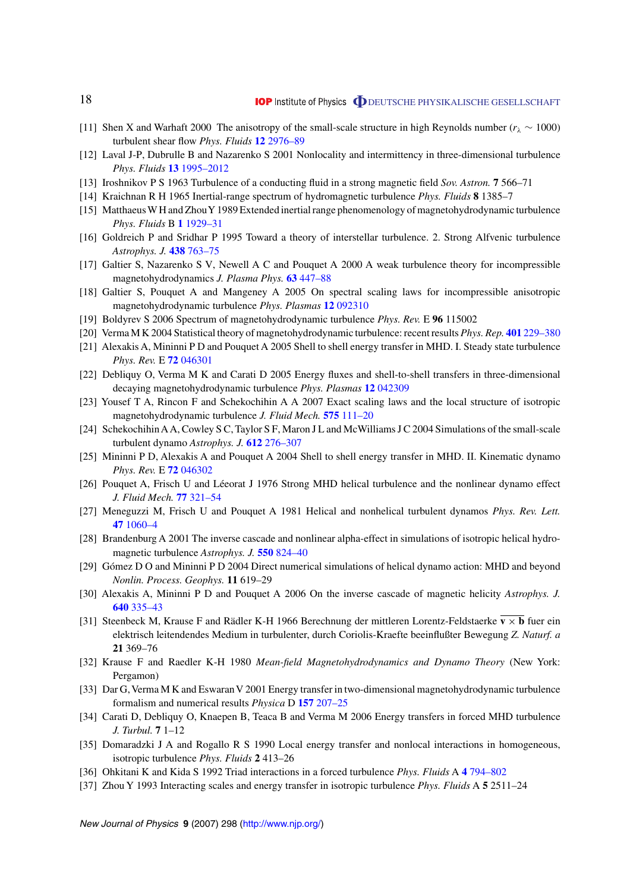- <span id="page-18-0"></span>[11] Shen X and Warhaft 2000 The anisotropy of the small-scale structure in high Reynolds number (*rλ* ∼ 1000) turbulent shear flow *Phys. Fluids* **12** [2976–89](http://dx.doi.org/10.1063/1.1313552)
- [12] Laval J-P, Dubrulle B and Nazarenko S 2001 Nonlocality and intermittency in three-dimensional turbulence *Phys. Fluids* **13** [1995–2012](http://dx.doi.org/10.1063/1.1373686)
- [13] Iroshnikov P S 1963 Turbulence of a conducting fluid in a strong magnetic field *Sov. Astron.* **7** 566–71
- [14] Kraichnan R H 1965 Inertial-range spectrum of hydromagnetic turbulence *Phys. Fluids* **8** 1385–7
- [15] MatthaeusW H and ZhouY 1989 Extended inertial range phenomenology of magnetohydrodynamic turbulence *Phys. Fluids* B **1** [1929–31](http://dx.doi.org/10.1063/1.859110)
- [16] Goldreich P and Sridhar P 1995 Toward a theory of interstellar turbulence. 2. Strong Alfvenic turbulence *Astrophys. J.* **438** [763–75](http://dx.doi.org/10.1086/175121)
- [17] Galtier S, Nazarenko S V, Newell A C and Pouquet A 2000 A weak turbulence theory for incompressible magnetohydrodynamics *J. Plasma Phys.* **63** [447–88](http://dx.doi.org/10.1017/S0022377899008284)
- [18] Galtier S, Pouquet A and Mangeney A 2005 On spectral scaling laws for incompressible anisotropic magnetohydrodynamic turbulence *Phys. Plasmas* **12** [092310](http://dx.doi.org/10.1063/1.2052507)
- [19] Boldyrev S 2006 Spectrum of magnetohydrodynamic turbulence *Phys. Rev.* E **96** 115002
- [20] Verma M K 2004 Statistical theory of magnetohydrodynamic turbulence: recent results *Phys. Rep.* **401** [229–380](http://dx.doi.org/10.1016/j.physrep.2004.07.007)
- [21] Alexakis A, Mininni P D and Pouquet A 2005 Shell to shell energy transfer in MHD. I. Steady state turbulence *Phys. Rev.* E **72** [046301](http://dx.doi.org/10.1103/PhysRevE.72.046301)
- [22] Debliquy O, Verma M K and Carati D 2005 Energy fluxes and shell-to-shell transfers in three-dimensional decaying magnetohydrodynamic turbulence *Phys. Plasmas* **12** [042309](http://dx.doi.org/10.1063/1.1867996)
- [23] Yousef T A, Rincon F and Schekochihin A A 2007 Exact scaling laws and the local structure of isotropic magnetohydrodynamic turbulence *J. Fluid Mech.* **575** [111–20](http://dx.doi.org/10.1017/S0022112006004186)
- [24] SchekochihinAA, Cowley S C, Taylor S F, Maron J L and McWilliams J C 2004 Simulations of the small-scale turbulent dynamo *Astrophys. J.* **612** [276–307](http://dx.doi.org/10.1086/422547)
- [25] Mininni P D, Alexakis A and Pouquet A 2004 Shell to shell energy transfer in MHD. II. Kinematic dynamo *Phys. Rev.* E **72** [046302](http://dx.doi.org/10.1103/PhysRevE.72.046302)
- [26] Pouquet A, Frisch U and Léeorat J 1976 Strong MHD helical turbulence and the nonlinear dynamo effect *J. Fluid Mech.* **77** [321–54](http://dx.doi.org/10.1017/S0022112076002140)
- [27] Meneguzzi M, Frisch U and Pouquet A 1981 Helical and nonhelical turbulent dynamos *Phys. Rev. Lett.* **47** [1060–4](http://dx.doi.org/10.1103/PhysRevLett.47.1060)
- [28] Brandenburg A 2001 The inverse cascade and nonlinear alpha-effect in simulations of isotropic helical hydromagnetic turbulence *Astrophys. J.* **550** [824–40](http://dx.doi.org/10.1086/319783)
- [29] Gómez D O and Mininni P D 2004 Direct numerical simulations of helical dynamo action: MHD and beyond *Nonlin. Process. Geophys.* **11** 619–29
- [30] Alexakis A, Mininni P D and Pouquet A 2006 On the inverse cascade of magnetic helicity *Astrophys. J.* **640** [335–43](http://dx.doi.org/10.1086/500082)
- [31] Steenbeck M, Krause F and Rädler K-H 1966 Berechnung der mittleren Lorentz-Feldstaerke **v** × **b** fuer ein elektrisch leitendendes Medium in turbulenter, durch Coriolis-Kraefte beeinflußter Bewegung *Z. Naturf. a* **21** 369–76
- [32] Krause F and Raedler K-H 1980 *Mean-field Magnetohydrodynamics and Dynamo Theory* (New York: Pergamon)
- [33] Dar G, Verma M K and Eswaran V 2001 Energy transfer in two-dimensional magnetohydrodynamic turbulence formalism and numerical results *Physica* D **157** [207–25](http://dx.doi.org/10.1016/S0167-2789(01)00307-4)
- [34] Carati D, Debliquy O, Knaepen B, Teaca B and Verma M 2006 Energy transfers in forced MHD turbulence *J. Turbul.* **7** 1–12
- [35] Domaradzki J A and Rogallo R S 1990 Local energy transfer and nonlocal interactions in homogeneous, isotropic turbulence *Phys. Fluids* **2** 413–26
- [36] Ohkitani K and Kida S 1992 Triad interactions in a forced turbulence *Phys. Fluids* A **4** [794–802](http://dx.doi.org/10.1063/1.858296)
- [37] Zhou Y 1993 Interacting scales and energy transfer in isotropic turbulence *Phys. Fluids* A **5** 2511–24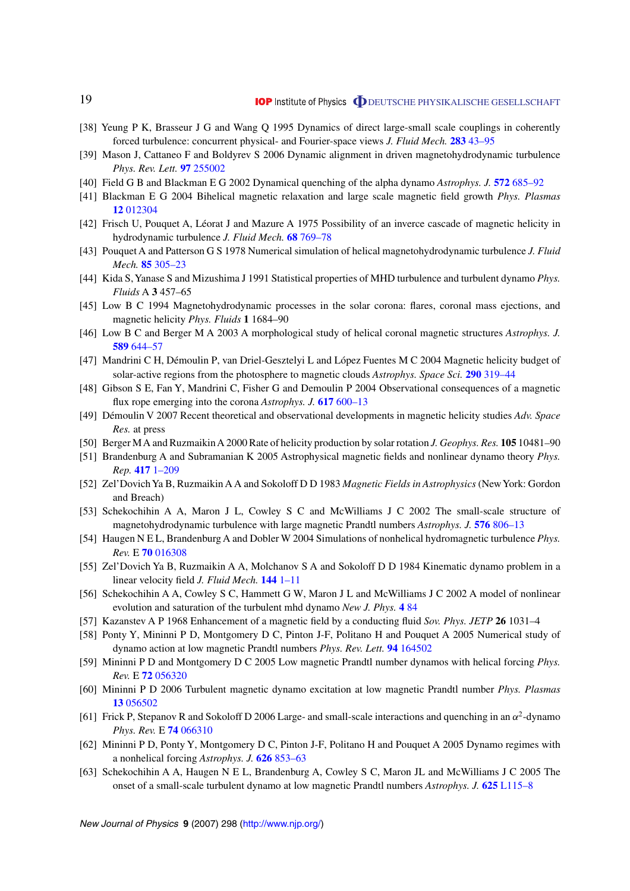- <span id="page-19-0"></span>[38] Yeung P K, Brasseur J G and Wang Q 1995 Dynamics of direct large-small scale couplings in coherently forced turbulence: concurrent physical- and Fourier-space views *J. Fluid Mech.* **283** [43–95](http://dx.doi.org/10.1017/S0022112095002230)
- [39] Mason J, Cattaneo F and Boldyrev S 2006 Dynamic alignment in driven magnetohydrodynamic turbulence *Phys. Rev. Lett.* **97** [255002](http://dx.doi.org/10.1103/PhysRevLett.97.255002)
- [40] Field G B and Blackman E G 2002 Dynamical quenching of the alpha dynamo *Astrophys. J.* **572** [685–92](http://dx.doi.org/10.1086/340233)
- [41] Blackman E G 2004 Bihelical magnetic relaxation and large scale magnetic field growth *Phys. Plasmas* **12** [012304](http://dx.doi.org/10.1063/1.1822935)
- [42] Frisch U, Pouquet A, Léorat J and Mazure A 1975 Possibility of an inverce cascade of magnetic helicity in hydrodynamic turbulence *J. Fluid Mech.* **68** [769–78](http://dx.doi.org/10.1017/S002211207500122X)
- [43] Pouquet A and Patterson G S 1978 Numerical simulation of helical magnetohydrodynamic turbulence *J. Fluid Mech.* **85** [305–23](http://dx.doi.org/10.1017/S0022112078000658)
- [44] Kida S,Yanase S and Mizushima J 1991 Statistical properties of MHD turbulence and turbulent dynamo *Phys. Fluids* A **3** 457–65
- [45] Low B C 1994 Magnetohydrodynamic processes in the solar corona: flares, coronal mass ejections, and magnetic helicity *Phys. Fluids* **1** 1684–90
- [46] Low B C and Berger M A 2003 A morphological study of helical coronal magnetic structures *Astrophys. J.* **589** [644–57](http://dx.doi.org/10.1086/374614)
- [47] Mandrini C H, Démoulin P, van Driel-Gesztelyi L and López Fuentes M C 2004 Magnetic helicity budget of solar-active regions from the photosphere to magnetic clouds *Astrophys. Space Sci.* **290** [319–44](http://dx.doi.org/10.1023/B:ASTR.0000032533.31817.0e)
- [48] Gibson S E, Fan Y, Mandrini C, Fisher G and Demoulin P 2004 Observational consequences of a magnetic flux rope emerging into the corona *Astrophys. J.* **617** [600–13](http://dx.doi.org/10.1086/425294)
- [49] D´emoulin V 2007 Recent theoretical and observational developments in magnetic helicity studies *Adv. Space Res.* at press
- [50] Berger MA and RuzmaikinA 2000 Rate of helicity production by solar rotation *J. Geophys. Res.* **105** 10481–90
- [51] Brandenburg A and Subramanian K 2005 Astrophysical magnetic fields and nonlinear dynamo theory *Phys. Rep.* **417** [1–209](http://dx.doi.org/10.1016/j.physrep.2005.06.005)
- [52] Zel'DovichYa B, Ruzmaikin A A and Sokoloff D D 1983 *Magnetic Fields in Astrophysics* (NewYork: Gordon and Breach)
- [53] Schekochihin A A, Maron J L, Cowley S C and McWilliams J C 2002 The small-scale structure of magnetohydrodynamic turbulence with large magnetic Prandtl numbers *Astrophys. J.* **576** [806–13](http://dx.doi.org/10.1086/341814)
- [54] Haugen N E L, Brandenburg A and Dobler W 2004 Simulations of nonhelical hydromagnetic turbulence *Phys. Rev.* E **70** [016308](http://dx.doi.org/10.1103/PhysRevE.70.016308)
- [55] Zel'Dovich Ya B, Ruzmaikin A A, Molchanov S A and Sokoloff D D 1984 Kinematic dynamo problem in a linear velocity field *J. Fluid Mech.* **144** [1–11](http://dx.doi.org/10.1017/S0022112084001488)
- [56] Schekochihin A A, Cowley S C, Hammett G W, Maron J L and McWilliams J C 2002 A model of nonlinear evolution and saturation of the turbulent mhd dynamo *New J. Phys.* **4** [84](http://dx.doi.org/10.1088/1367-2630/4/1/384)
- [57] Kazanstev A P 1968 Enhancement of a magnetic field by a conducting fluid *Sov. Phys. JETP* **26** 1031–4
- [58] Ponty Y, Mininni P D, Montgomery D C, Pinton J-F, Politano H and Pouquet A 2005 Numerical study of dynamo action at low magnetic Prandtl numbers *Phys. Rev. Lett.* **94** [164502](http://dx.doi.org/10.1103/PhysRevLett.94.164502)
- [59] Mininni P D and Montgomery D C 2005 Low magnetic Prandtl number dynamos with helical forcing *Phys. Rev.* E **72** [056320](http://dx.doi.org/10.1103/PhysRevE.72.056320)
- [60] Mininni P D 2006 Turbulent magnetic dynamo excitation at low magnetic Prandtl number *Phys. Plasmas* **13** [056502](http://dx.doi.org/10.1063/1.2179055)
- [61] Frick P, Stepanov R and Sokoloff D 2006 Large- and small-scale interactions and quenching in an *α*2-dynamo *Phys. Rev.* E **74** [066310](http://dx.doi.org/10.1103/PhysRevE.74.066310)
- [62] Mininni P D, Ponty Y, Montgomery D C, Pinton J-F, Politano H and Pouquet A 2005 Dynamo regimes with a nonhelical forcing *Astrophys. J.* **626** [853–63](http://dx.doi.org/10.1086/429911)
- [63] Schekochihin A A, Haugen N E L, Brandenburg A, Cowley S C, Maron JL and McWilliams J C 2005 The onset of a small-scale turbulent dynamo at low magnetic Prandtl numbers *Astrophys. J.* **625** [L115–8](http://dx.doi.org/10.1086/431214)